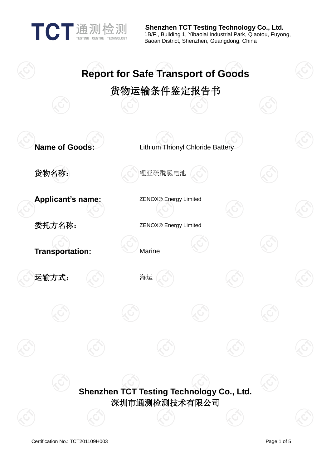TECHNOLOGY

 **Shenzhen TCT Testing Technology Co., Ltd.** 1B/F., Building 1, Yibaolai Industrial Park, Qiaotou, Fuyong, Baoan District, Shenzhen, Guangdong, China

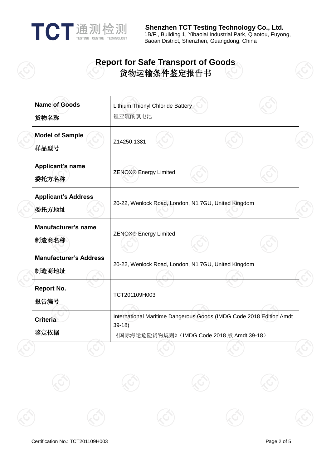

**TE A TE 话 珊 检测 Shenzhen TCT Testing Technology Co., Ltd.** 1B/F., Building 1, Yibaolai Industrial Park, Qiaotou, Fuyong, Baoan District, Shenzhen, Guangdong, China

## **Report for Safe Transport of Goods** 货物运输条件鉴定报告书

| Lithium Thionyl Chloride Battery<br>锂亚硫酰氯电池                                                                                  |  |
|------------------------------------------------------------------------------------------------------------------------------|--|
| Z14250.1381                                                                                                                  |  |
| ZENOX® Energy Limited                                                                                                        |  |
| 20-22, Wenlock Road, London, N1 7GU, United Kingdom                                                                          |  |
| <b>ZENOX®</b> Energy Limited                                                                                                 |  |
| 20-22, Wenlock Road, London, N1 7GU, United Kingdom                                                                          |  |
| TCT201109H003                                                                                                                |  |
| International Maritime Dangerous Goods (IMDG Code 2018 Edition Amdt<br>$39-18$<br>《国际海运危险货物规则》 (IMDG Code 2018 版 Amdt 39-18) |  |
|                                                                                                                              |  |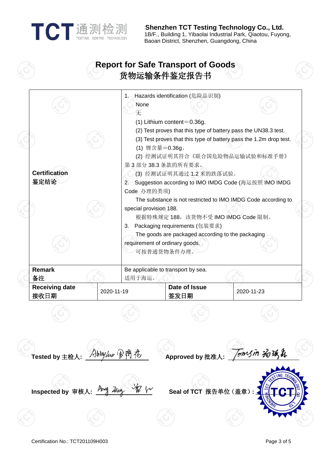| 通测检测                      |
|---------------------------|
| TESTING CENTRE TECHNOLOGY |

 **Shenzhen TCT Testing Technology Co., Ltd.** 1B/F., Building 1, Yibaolai Industrial Park, Qiaotou, Fuyong, Baoan District, Shenzhen, Guangdong, China

## **Report for Safe Transport of Goods** 货物运输条件鉴定报告书



Tomsin 汤饭森 **Tested by** 主检人**: Approved by** 批准人**: Inspected by** 审核人**: Seal of TCT** 报告单位(盖章)**:** *<sup>U</sup> <sup>U</sup>*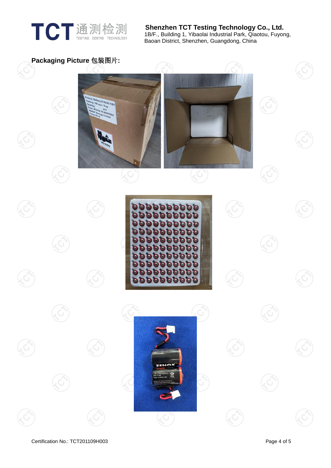

**TE A TE 话 珊 检测 Shenzhen TCT Testing Technology Co., Ltd.** 1B/F., Building 1, Yibaolai Industrial Park, Qiaotou, Fuyong, Baoan District, Shenzhen, Guangdong, China